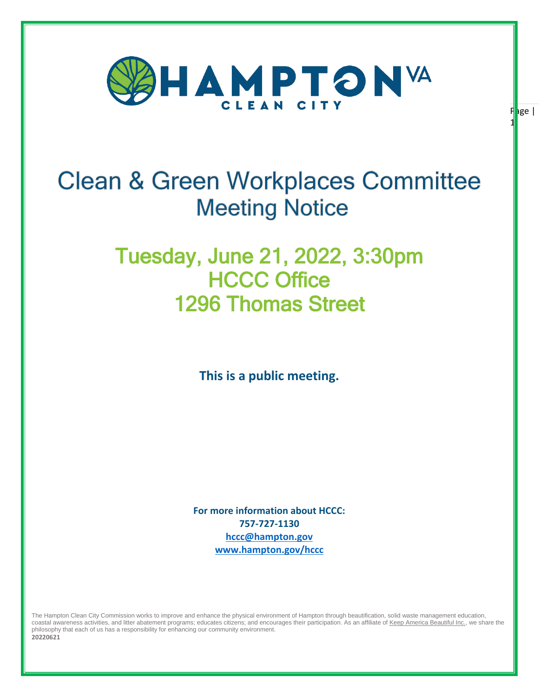

 $F|$ age | 1

# **Clean & Green Workplaces Committee Meeting Notice**

# Tuesday, June 21, 2022, 3:30pm HCCC Office 1296 Thomas Street

**This is a public meeting.** 

**For more information about HCCC: 757-727-1130 [hccc@hampton.gov](mailto:hccc@hampton.gov) [www.hampton.gov/hccc](http://www.hampton.gov/hccc)**

The Hampton Clean City Commission works to improve and enhance the physical environment of Hampton through beautification, solid waste management education, coastal awareness activities, and litter abatement programs; educates citizens; and encourages their participation. As an affiliate o[f Keep America Beautiful Inc.,](http://www.kab.org/) we share the philosophy that each of us has a responsibility for enhancing our community environment. **20220621**